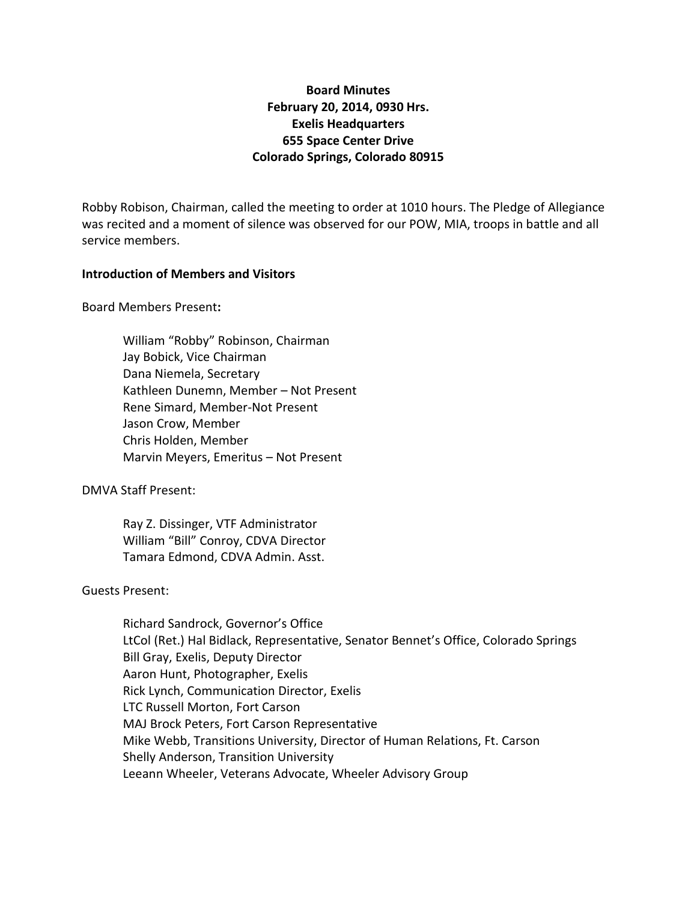# **Board Minutes February 20, 2014, 0930 Hrs. Exelis Headquarters 655 Space Center Drive Colorado Springs, Colorado 80915**

Robby Robison, Chairman, called the meeting to order at 1010 hours. The Pledge of Allegiance was recited and a moment of silence was observed for our POW, MIA, troops in battle and all service members.

#### **Introduction of Members and Visitors**

Board Members Present**:**

William "Robby" Robinson, Chairman Jay Bobick, Vice Chairman Dana Niemela, Secretary Kathleen Dunemn, Member – Not Present Rene Simard, Member-Not Present Jason Crow, Member Chris Holden, Member Marvin Meyers, Emeritus – Not Present

DMVA Staff Present:

Ray Z. Dissinger, VTF Administrator William "Bill" Conroy, CDVA Director Tamara Edmond, CDVA Admin. Asst.

#### Guests Present:

Richard Sandrock, Governor's Office LtCol (Ret.) Hal Bidlack, Representative, Senator Bennet's Office, Colorado Springs Bill Gray, Exelis, Deputy Director Aaron Hunt, Photographer, Exelis Rick Lynch, Communication Director, Exelis LTC Russell Morton, Fort Carson MAJ Brock Peters, Fort Carson Representative Mike Webb, Transitions University, Director of Human Relations, Ft. Carson Shelly Anderson, Transition University Leeann Wheeler, Veterans Advocate, Wheeler Advisory Group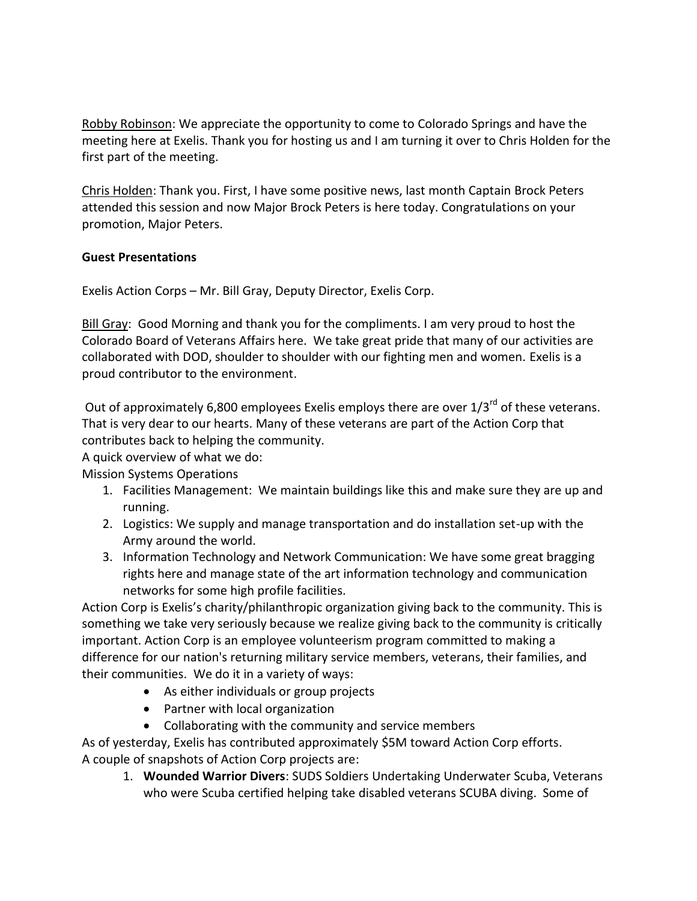Robby Robinson: We appreciate the opportunity to come to Colorado Springs and have the meeting here at Exelis. Thank you for hosting us and I am turning it over to Chris Holden for the first part of the meeting.

Chris Holden: Thank you. First, I have some positive news, last month Captain Brock Peters attended this session and now Major Brock Peters is here today. Congratulations on your promotion, Major Peters.

### **Guest Presentations**

Exelis Action Corps – Mr. Bill Gray, Deputy Director, Exelis Corp.

Bill Gray: Good Morning and thank you for the compliments. I am very proud to host the Colorado Board of Veterans Affairs here. We take great pride that many of our activities are collaborated with DOD, shoulder to shoulder with our fighting men and women. Exelis is a proud contributor to the environment.

Out of approximately 6,800 employees Exelis employs there are over  $1/3^{rd}$  of these veterans. That is very dear to our hearts. Many of these veterans are part of the Action Corp that contributes back to helping the community.

A quick overview of what we do:

Mission Systems Operations

- 1. Facilities Management: We maintain buildings like this and make sure they are up and running.
- 2. Logistics: We supply and manage transportation and do installation set-up with the Army around the world.
- 3. Information Technology and Network Communication: We have some great bragging rights here and manage state of the art information technology and communication networks for some high profile facilities.

Action Corp is Exelis's charity/philanthropic organization giving back to the community. This is something we take very seriously because we realize giving back to the community is critically important. Action Corp is an employee volunteerism program committed to making a difference for our nation's returning military service members, veterans, their families, and their communities. We do it in a variety of ways:

- As either individuals or group projects
- Partner with local organization
- Collaborating with the community and service members

As of yesterday, Exelis has contributed approximately \$5M toward Action Corp efforts. A couple of snapshots of Action Corp projects are:

1. **Wounded Warrior Divers**: SUDS Soldiers Undertaking Underwater Scuba, Veterans who were Scuba certified helping take disabled veterans SCUBA diving. Some of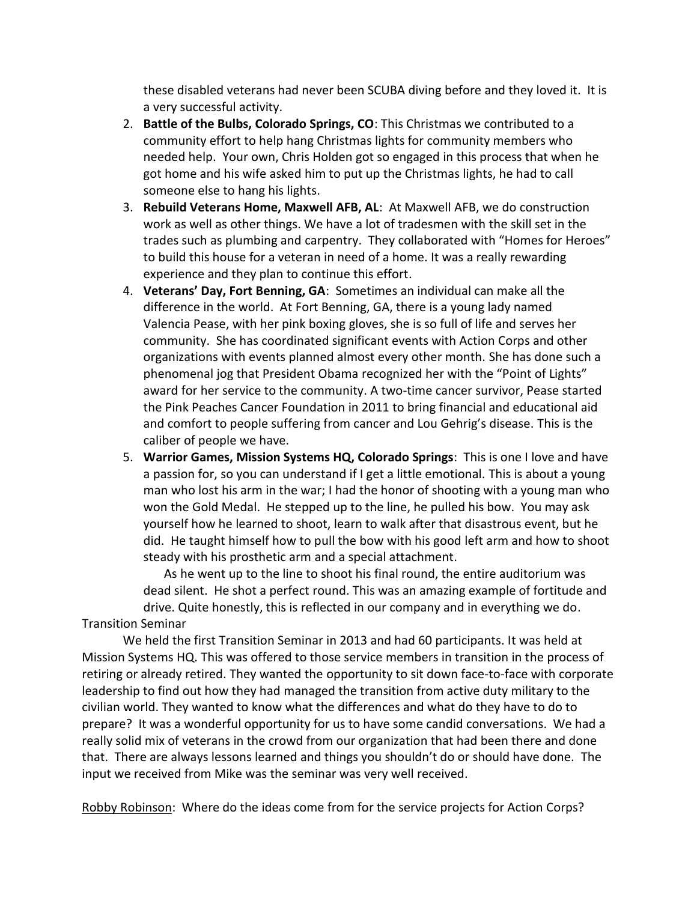these disabled veterans had never been SCUBA diving before and they loved it. It is a very successful activity.

- 2. **Battle of the Bulbs, Colorado Springs, CO**: This Christmas we contributed to a community effort to help hang Christmas lights for community members who needed help. Your own, Chris Holden got so engaged in this process that when he got home and his wife asked him to put up the Christmas lights, he had to call someone else to hang his lights.
- 3. **Rebuild Veterans Home, Maxwell AFB, AL**: At Maxwell AFB, we do construction work as well as other things. We have a lot of tradesmen with the skill set in the trades such as plumbing and carpentry. They collaborated with "Homes for Heroes" to build this house for a veteran in need of a home. It was a really rewarding experience and they plan to continue this effort.
- 4. **Veterans' Day, Fort Benning, GA**: Sometimes an individual can make all the difference in the world. At Fort Benning, GA, there is a young lady named Valencia Pease, with her pink boxing gloves, she is so full of life and serves her community. She has coordinated significant events with Action Corps and other organizations with events planned almost every other month. She has done such a phenomenal jog that President Obama recognized her with the "Point of Lights" award for her service to the community. A two-time cancer survivor, Pease started the Pink Peaches Cancer Foundation in 2011 to bring financial and educational aid and comfort to people suffering from cancer and Lou Gehrig's disease. This is the caliber of people we have.
- 5. **Warrior Games, Mission Systems HQ, Colorado Springs**: This is one I love and have a passion for, so you can understand if I get a little emotional. This is about a young man who lost his arm in the war; I had the honor of shooting with a young man who won the Gold Medal. He stepped up to the line, he pulled his bow. You may ask yourself how he learned to shoot, learn to walk after that disastrous event, but he did. He taught himself how to pull the bow with his good left arm and how to shoot steady with his prosthetic arm and a special attachment.

As he went up to the line to shoot his final round, the entire auditorium was dead silent. He shot a perfect round. This was an amazing example of fortitude and drive. Quite honestly, this is reflected in our company and in everything we do. Transition Seminar

We held the first Transition Seminar in 2013 and had 60 participants. It was held at Mission Systems HQ. This was offered to those service members in transition in the process of retiring or already retired. They wanted the opportunity to sit down face-to-face with corporate leadership to find out how they had managed the transition from active duty military to the civilian world. They wanted to know what the differences and what do they have to do to prepare? It was a wonderful opportunity for us to have some candid conversations. We had a really solid mix of veterans in the crowd from our organization that had been there and done that. There are always lessons learned and things you shouldn't do or should have done. The input we received from Mike was the seminar was very well received.

Robby Robinson: Where do the ideas come from for the service projects for Action Corps?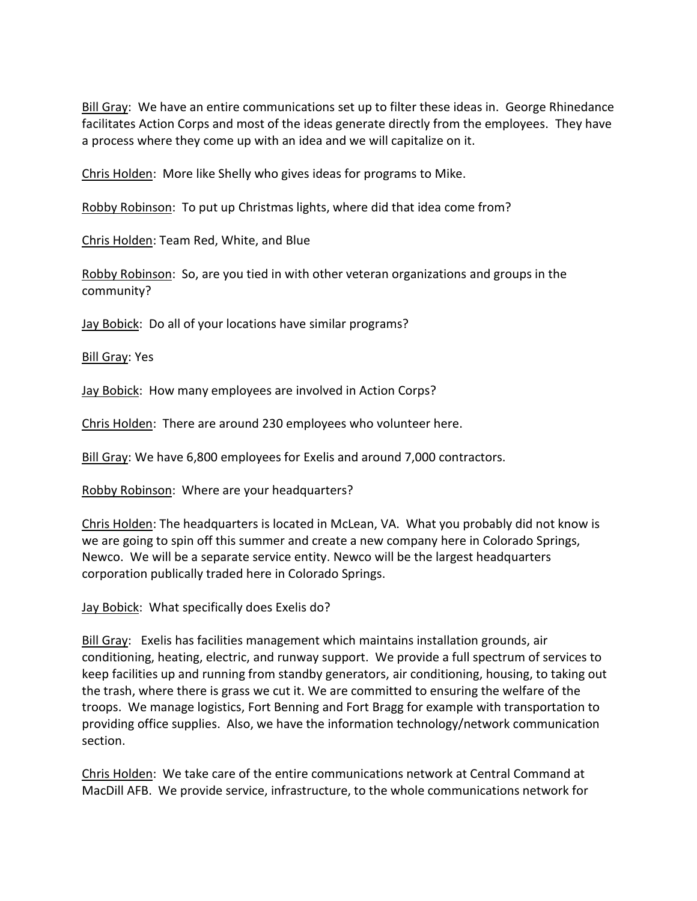Bill Gray: We have an entire communications set up to filter these ideas in. George Rhinedance facilitates Action Corps and most of the ideas generate directly from the employees. They have a process where they come up with an idea and we will capitalize on it.

Chris Holden: More like Shelly who gives ideas for programs to Mike.

Robby Robinson: To put up Christmas lights, where did that idea come from?

Chris Holden: Team Red, White, and Blue

Robby Robinson: So, are you tied in with other veteran organizations and groups in the community?

Jay Bobick: Do all of your locations have similar programs?

Bill Gray: Yes

Jay Bobick: How many employees are involved in Action Corps?

Chris Holden: There are around 230 employees who volunteer here.

Bill Gray: We have 6,800 employees for Exelis and around 7,000 contractors.

Robby Robinson: Where are your headquarters?

Chris Holden: The headquarters is located in McLean, VA. What you probably did not know is we are going to spin off this summer and create a new company here in Colorado Springs, Newco. We will be a separate service entity. Newco will be the largest headquarters corporation publically traded here in Colorado Springs.

Jay Bobick: What specifically does Exelis do?

Bill Gray: Exelis has facilities management which maintains installation grounds, air conditioning, heating, electric, and runway support. We provide a full spectrum of services to keep facilities up and running from standby generators, air conditioning, housing, to taking out the trash, where there is grass we cut it. We are committed to ensuring the welfare of the troops. We manage logistics, Fort Benning and Fort Bragg for example with transportation to providing office supplies. Also, we have the information technology/network communication section.

Chris Holden: We take care of the entire communications network at Central Command at MacDill AFB. We provide service, infrastructure, to the whole communications network for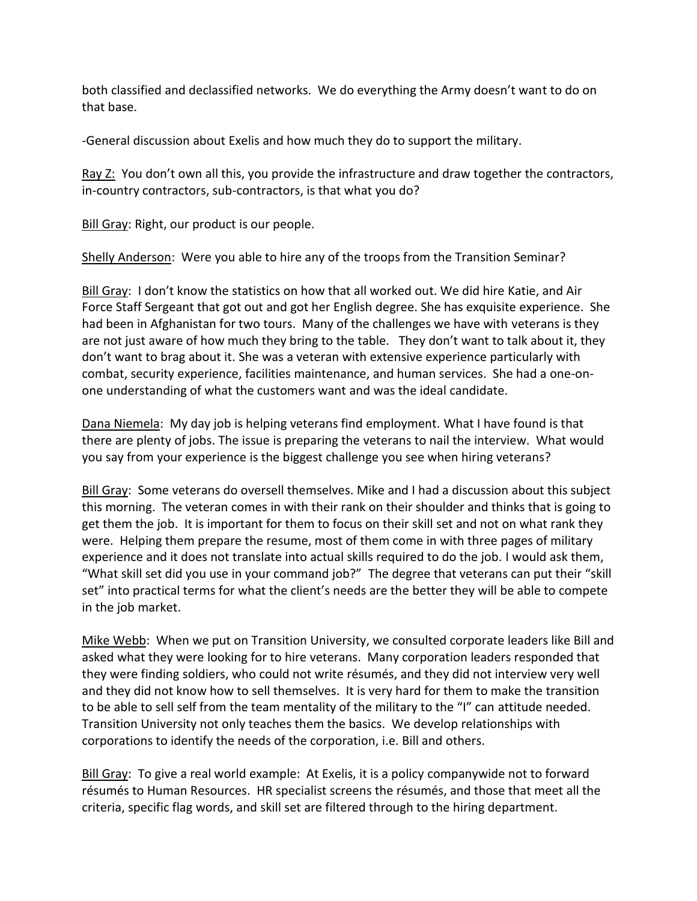both classified and declassified networks. We do everything the Army doesn't want to do on that base.

-General discussion about Exelis and how much they do to support the military.

Ray Z: You don't own all this, you provide the infrastructure and draw together the contractors, in-country contractors, sub-contractors, is that what you do?

Bill Gray: Right, our product is our people.

Shelly Anderson: Were you able to hire any of the troops from the Transition Seminar?

Bill Gray: I don't know the statistics on how that all worked out. We did hire Katie, and Air Force Staff Sergeant that got out and got her English degree. She has exquisite experience. She had been in Afghanistan for two tours. Many of the challenges we have with veterans is they are not just aware of how much they bring to the table. They don't want to talk about it, they don't want to brag about it. She was a veteran with extensive experience particularly with combat, security experience, facilities maintenance, and human services. She had a one-onone understanding of what the customers want and was the ideal candidate.

Dana Niemela: My day job is helping veterans find employment. What I have found is that there are plenty of jobs. The issue is preparing the veterans to nail the interview. What would you say from your experience is the biggest challenge you see when hiring veterans?

Bill Gray: Some veterans do oversell themselves. Mike and I had a discussion about this subject this morning. The veteran comes in with their rank on their shoulder and thinks that is going to get them the job. It is important for them to focus on their skill set and not on what rank they were. Helping them prepare the resume, most of them come in with three pages of military experience and it does not translate into actual skills required to do the job. I would ask them, "What skill set did you use in your command job?" The degree that veterans can put their "skill set" into practical terms for what the client's needs are the better they will be able to compete in the job market.

Mike Webb: When we put on Transition University, we consulted corporate leaders like Bill and asked what they were looking for to hire veterans. Many corporation leaders responded that they were finding soldiers, who could not write résumés, and they did not interview very well and they did not know how to sell themselves. It is very hard for them to make the transition to be able to sell self from the team mentality of the military to the "I" can attitude needed. Transition University not only teaches them the basics. We develop relationships with corporations to identify the needs of the corporation, i.e. Bill and others.

Bill Gray: To give a real world example: At Exelis, it is a policy companywide not to forward résumés to Human Resources. HR specialist screens the résumés, and those that meet all the criteria, specific flag words, and skill set are filtered through to the hiring department.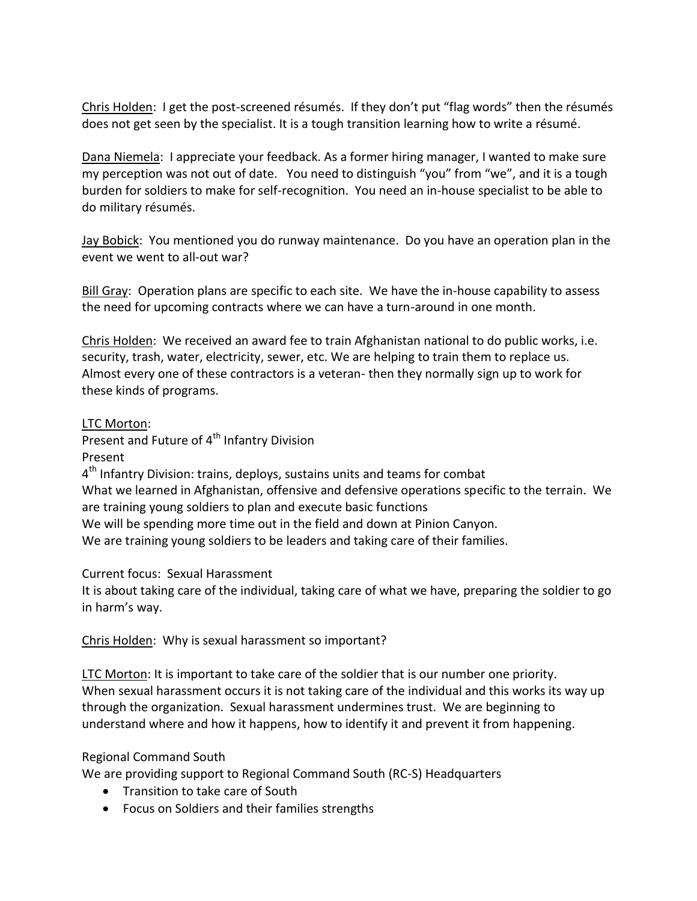Chris Holden: I get the post-screened résumés. If they don't put "flag words" then the résumés does not get seen by the specialist. It is a tough transition learning how to write a résumé.

Dana Niemela: I appreciate your feedback. As a former hiring manager, I wanted to make sure my perception was not out of date. You need to distinguish "you" from "we", and it is a tough burden for soldiers to make for self-recognition. You need an in-house specialist to be able to do military résumés.

Jay Bobick: You mentioned you do runway maintenance. Do you have an operation plan in the event we went to all-out war?

Bill Gray: Operation plans are specific to each site. We have the in-house capability to assess the need for upcoming contracts where we can have a turn-around in one month.

Chris Holden: We received an award fee to train Afghanistan national to do public works, i.e. security, trash, water, electricity, sewer, etc. We are helping to train them to replace us. Almost every one of these contractors is a veteran- then they normally sign up to work for these kinds of programs.

### LTC Morton:

Present and Future of 4<sup>th</sup> Infantry Division

Present

4<sup>th</sup> Infantry Division: trains, deploys, sustains units and teams for combat What we learned in Afghanistan, offensive and defensive operations specific to the terrain. We are training young soldiers to plan and execute basic functions We will be spending more time out in the field and down at Pinion Canyon. We are training young soldiers to be leaders and taking care of their families.

Current focus: Sexual Harassment

It is about taking care of the individual, taking care of what we have, preparing the soldier to go in harm's way.

Chris Holden: Why is sexual harassment so important?

LTC Morton: It is important to take care of the soldier that is our number one priority. When sexual harassment occurs it is not taking care of the individual and this works its way up through the organization. Sexual harassment undermines trust. We are beginning to understand where and how it happens, how to identify it and prevent it from happening.

# Regional Command South

We are providing support to Regional Command South (RC-S) Headquarters

- Transition to take care of South
- Focus on Soldiers and their families strengths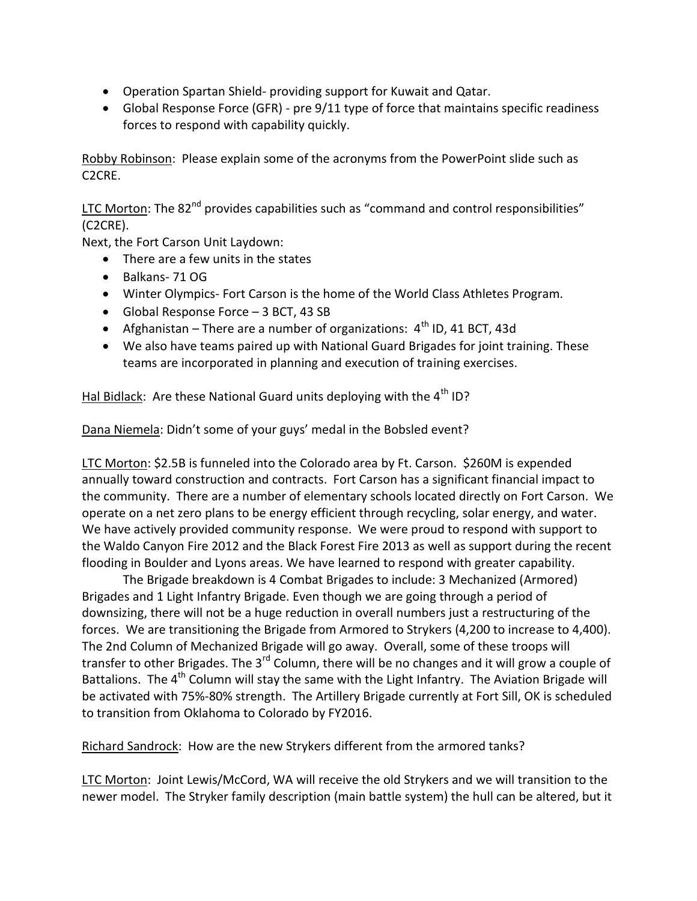- Operation Spartan Shield- providing support for Kuwait and Qatar.
- Global Response Force (GFR) pre 9/11 type of force that maintains specific readiness forces to respond with capability quickly.

Robby Robinson: Please explain some of the acronyms from the PowerPoint slide such as C2CRE.

LTC Morton: The 82<sup>nd</sup> provides capabilities such as "command and control responsibilities" (C2CRE).

Next, the Fort Carson Unit Laydown:

- There are a few units in the states
- Balkans- 71 OG
- Winter Olympics- Fort Carson is the home of the World Class Athletes Program.
- Global Response Force 3 BCT, 43 SB
- Afghanistan There are a number of organizations:  $4<sup>th</sup>$  ID, 41 BCT, 43d
- We also have teams paired up with National Guard Brigades for joint training. These teams are incorporated in planning and execution of training exercises.

Hal Bidlack: Are these National Guard units deploying with the 4<sup>th</sup> ID?

Dana Niemela: Didn't some of your guys' medal in the Bobsled event?

LTC Morton: \$2.5B is funneled into the Colorado area by Ft. Carson. \$260M is expended annually toward construction and contracts. Fort Carson has a significant financial impact to the community. There are a number of elementary schools located directly on Fort Carson. We operate on a net zero plans to be energy efficient through recycling, solar energy, and water. We have actively provided community response. We were proud to respond with support to the Waldo Canyon Fire 2012 and the Black Forest Fire 2013 as well as support during the recent flooding in Boulder and Lyons areas. We have learned to respond with greater capability.

The Brigade breakdown is 4 Combat Brigades to include: 3 Mechanized (Armored) Brigades and 1 Light Infantry Brigade. Even though we are going through a period of downsizing, there will not be a huge reduction in overall numbers just a restructuring of the forces. We are transitioning the Brigade from Armored to Strykers (4,200 to increase to 4,400). The 2nd Column of Mechanized Brigade will go away. Overall, some of these troops will transfer to other Brigades. The  $3^{rd}$  Column, there will be no changes and it will grow a couple of Battalions. The  $4<sup>th</sup>$  Column will stay the same with the Light Infantry. The Aviation Brigade will be activated with 75%-80% strength. The Artillery Brigade currently at Fort Sill, OK is scheduled to transition from Oklahoma to Colorado by FY2016.

Richard Sandrock: How are the new Strykers different from the armored tanks?

LTC Morton: Joint Lewis/McCord, WA will receive the old Strykers and we will transition to the newer model. The Stryker family description (main battle system) the hull can be altered, but it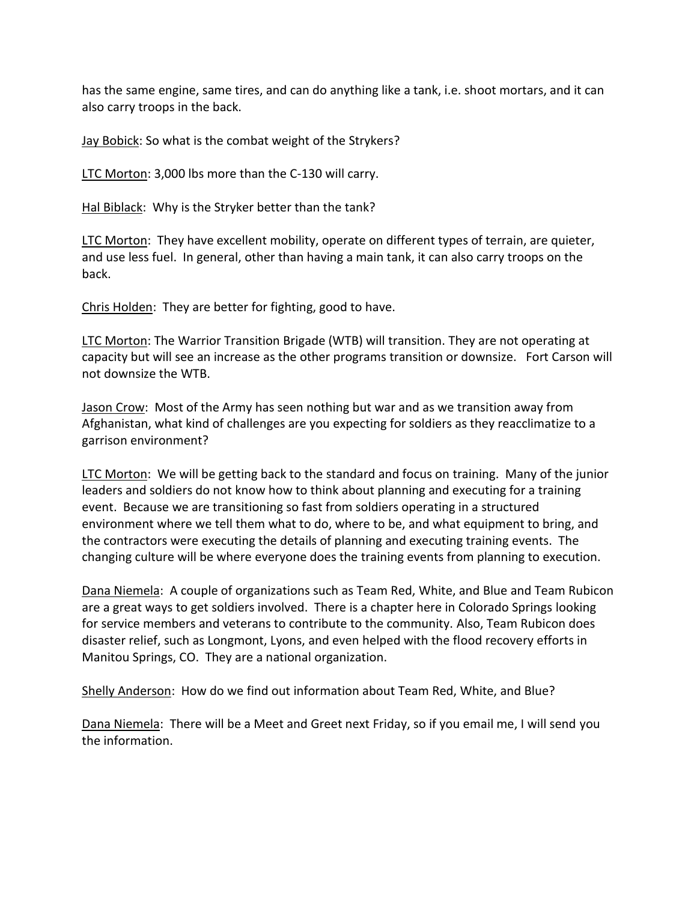has the same engine, same tires, and can do anything like a tank, i.e. shoot mortars, and it can also carry troops in the back.

Jay Bobick: So what is the combat weight of the Strykers?

LTC Morton: 3,000 lbs more than the C-130 will carry.

Hal Biblack: Why is the Stryker better than the tank?

LTC Morton: They have excellent mobility, operate on different types of terrain, are quieter, and use less fuel. In general, other than having a main tank, it can also carry troops on the back.

Chris Holden: They are better for fighting, good to have.

LTC Morton: The Warrior Transition Brigade (WTB) will transition. They are not operating at capacity but will see an increase as the other programs transition or downsize. Fort Carson will not downsize the WTB.

Jason Crow: Most of the Army has seen nothing but war and as we transition away from Afghanistan, what kind of challenges are you expecting for soldiers as they reacclimatize to a garrison environment?

LTC Morton: We will be getting back to the standard and focus on training. Many of the junior leaders and soldiers do not know how to think about planning and executing for a training event. Because we are transitioning so fast from soldiers operating in a structured environment where we tell them what to do, where to be, and what equipment to bring, and the contractors were executing the details of planning and executing training events. The changing culture will be where everyone does the training events from planning to execution.

Dana Niemela: A couple of organizations such as Team Red, White, and Blue and Team Rubicon are a great ways to get soldiers involved. There is a chapter here in Colorado Springs looking for service members and veterans to contribute to the community. Also, Team Rubicon does disaster relief, such as Longmont, Lyons, and even helped with the flood recovery efforts in Manitou Springs, CO. They are a national organization.

Shelly Anderson: How do we find out information about Team Red, White, and Blue?

Dana Niemela: There will be a Meet and Greet next Friday, so if you email me, I will send you the information.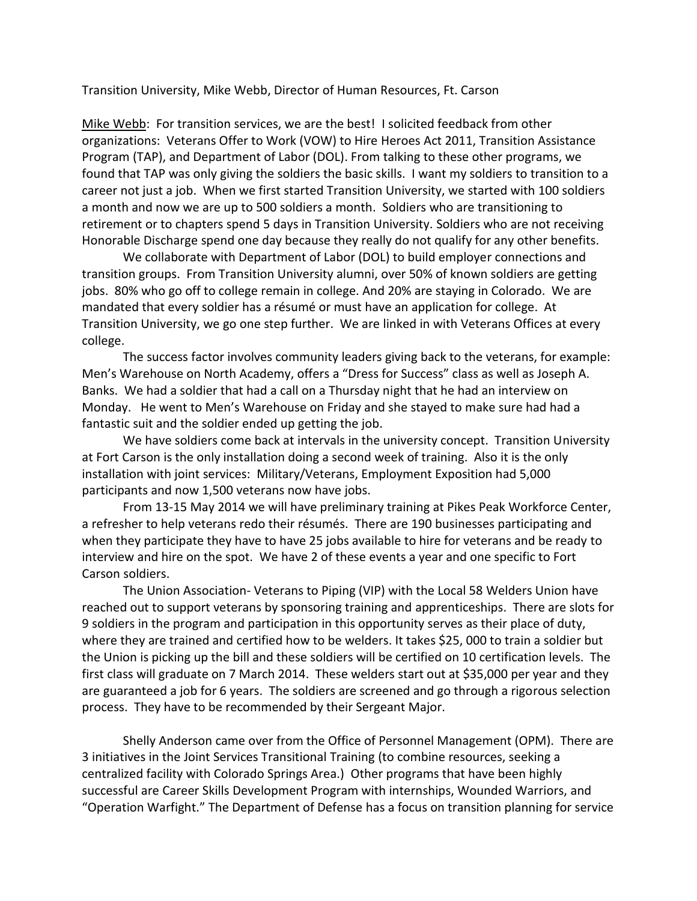Transition University, Mike Webb, Director of Human Resources, Ft. Carson

Mike Webb: For transition services, we are the best! I solicited feedback from other organizations: Veterans Offer to Work (VOW) to Hire Heroes Act 2011, Transition Assistance Program (TAP), and Department of Labor (DOL). From talking to these other programs, we found that TAP was only giving the soldiers the basic skills. I want my soldiers to transition to a career not just a job. When we first started Transition University, we started with 100 soldiers a month and now we are up to 500 soldiers a month. Soldiers who are transitioning to retirement or to chapters spend 5 days in Transition University. Soldiers who are not receiving Honorable Discharge spend one day because they really do not qualify for any other benefits.

We collaborate with Department of Labor (DOL) to build employer connections and transition groups. From Transition University alumni, over 50% of known soldiers are getting jobs. 80% who go off to college remain in college. And 20% are staying in Colorado. We are mandated that every soldier has a résumé or must have an application for college. At Transition University, we go one step further. We are linked in with Veterans Offices at every college.

The success factor involves community leaders giving back to the veterans, for example: Men's Warehouse on North Academy, offers a "Dress for Success" class as well as Joseph A. Banks. We had a soldier that had a call on a Thursday night that he had an interview on Monday. He went to Men's Warehouse on Friday and she stayed to make sure had had a fantastic suit and the soldier ended up getting the job.

We have soldiers come back at intervals in the university concept. Transition University at Fort Carson is the only installation doing a second week of training. Also it is the only installation with joint services: Military/Veterans, Employment Exposition had 5,000 participants and now 1,500 veterans now have jobs.

From 13-15 May 2014 we will have preliminary training at Pikes Peak Workforce Center, a refresher to help veterans redo their résumés. There are 190 businesses participating and when they participate they have to have 25 jobs available to hire for veterans and be ready to interview and hire on the spot. We have 2 of these events a year and one specific to Fort Carson soldiers.

The Union Association- Veterans to Piping (VIP) with the Local 58 Welders Union have reached out to support veterans by sponsoring training and apprenticeships. There are slots for 9 soldiers in the program and participation in this opportunity serves as their place of duty, where they are trained and certified how to be welders. It takes \$25, 000 to train a soldier but the Union is picking up the bill and these soldiers will be certified on 10 certification levels. The first class will graduate on 7 March 2014. These welders start out at \$35,000 per year and they are guaranteed a job for 6 years. The soldiers are screened and go through a rigorous selection process. They have to be recommended by their Sergeant Major.

Shelly Anderson came over from the Office of Personnel Management (OPM). There are 3 initiatives in the Joint Services Transitional Training (to combine resources, seeking a centralized facility with Colorado Springs Area.) Other programs that have been highly successful are Career Skills Development Program with internships, Wounded Warriors, and "Operation Warfight." The Department of Defense has a focus on transition planning for service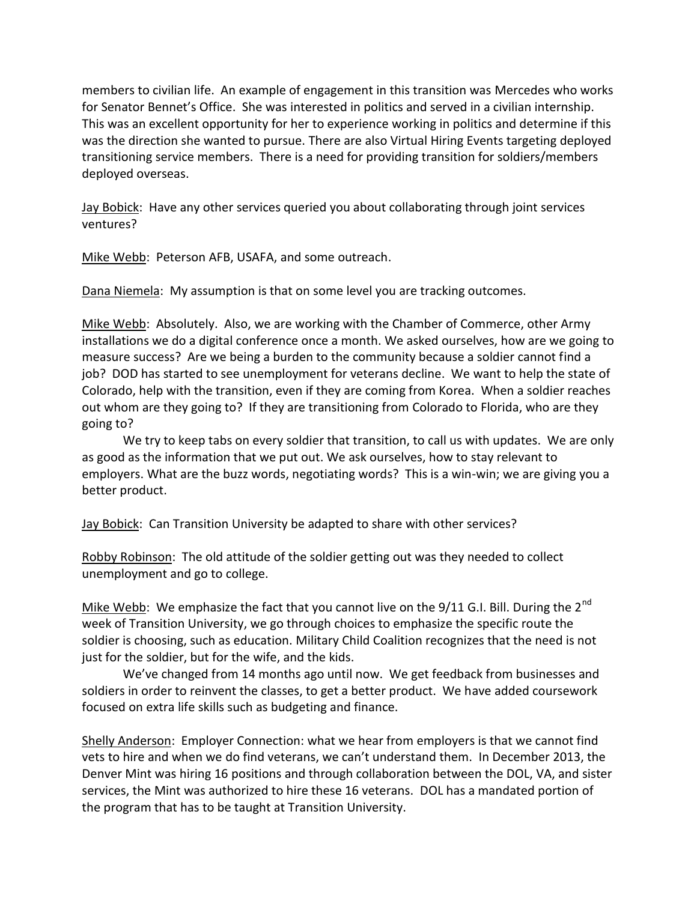members to civilian life. An example of engagement in this transition was Mercedes who works for Senator Bennet's Office. She was interested in politics and served in a civilian internship. This was an excellent opportunity for her to experience working in politics and determine if this was the direction she wanted to pursue. There are also Virtual Hiring Events targeting deployed transitioning service members. There is a need for providing transition for soldiers/members deployed overseas.

Jay Bobick: Have any other services queried you about collaborating through joint services ventures?

Mike Webb: Peterson AFB, USAFA, and some outreach.

Dana Niemela: My assumption is that on some level you are tracking outcomes.

Mike Webb: Absolutely. Also, we are working with the Chamber of Commerce, other Army installations we do a digital conference once a month. We asked ourselves, how are we going to measure success? Are we being a burden to the community because a soldier cannot find a job? DOD has started to see unemployment for veterans decline. We want to help the state of Colorado, help with the transition, even if they are coming from Korea. When a soldier reaches out whom are they going to? If they are transitioning from Colorado to Florida, who are they going to?

We try to keep tabs on every soldier that transition, to call us with updates. We are only as good as the information that we put out. We ask ourselves, how to stay relevant to employers. What are the buzz words, negotiating words? This is a win-win; we are giving you a better product.

Jay Bobick: Can Transition University be adapted to share with other services?

Robby Robinson: The old attitude of the soldier getting out was they needed to collect unemployment and go to college.

Mike Webb: We emphasize the fact that you cannot live on the  $9/11$  G.I. Bill. During the  $2^{nd}$ week of Transition University, we go through choices to emphasize the specific route the soldier is choosing, such as education. Military Child Coalition recognizes that the need is not just for the soldier, but for the wife, and the kids.

We've changed from 14 months ago until now. We get feedback from businesses and soldiers in order to reinvent the classes, to get a better product. We have added coursework focused on extra life skills such as budgeting and finance.

Shelly Anderson: Employer Connection: what we hear from employers is that we cannot find vets to hire and when we do find veterans, we can't understand them. In December 2013, the Denver Mint was hiring 16 positions and through collaboration between the DOL, VA, and sister services, the Mint was authorized to hire these 16 veterans. DOL has a mandated portion of the program that has to be taught at Transition University.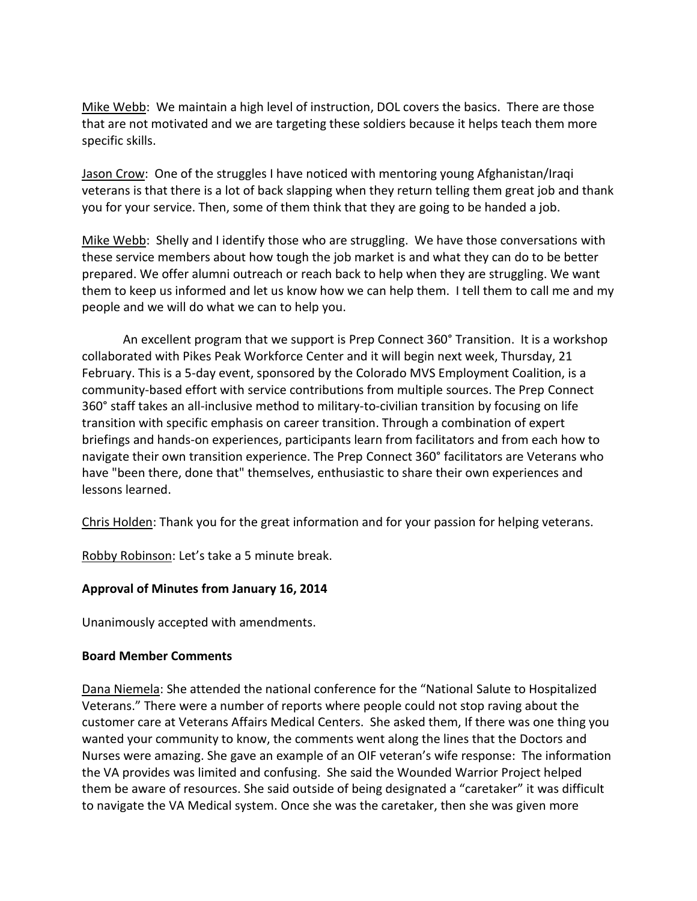Mike Webb: We maintain a high level of instruction, DOL covers the basics. There are those that are not motivated and we are targeting these soldiers because it helps teach them more specific skills.

Jason Crow: One of the struggles I have noticed with mentoring young Afghanistan/Iraqi veterans is that there is a lot of back slapping when they return telling them great job and thank you for your service. Then, some of them think that they are going to be handed a job.

Mike Webb: Shelly and I identify those who are struggling. We have those conversations with these service members about how tough the job market is and what they can do to be better prepared. We offer alumni outreach or reach back to help when they are struggling. We want them to keep us informed and let us know how we can help them. I tell them to call me and my people and we will do what we can to help you.

An excellent program that we support is Prep Connect 360° Transition. It is a workshop collaborated with Pikes Peak Workforce Center and it will begin next week, Thursday, 21 February. This is a 5-day event, sponsored by the Colorado MVS Employment Coalition, is a community-based effort with service contributions from multiple sources. The Prep Connect 360° staff takes an all-inclusive method to military-to-civilian transition by focusing on life transition with specific emphasis on career transition. Through a combination of expert briefings and hands-on experiences, participants learn from facilitators and from each how to navigate their own transition experience. The Prep Connect 360° facilitators are Veterans who have "been there, done that" themselves, enthusiastic to share their own experiences and lessons learned.

Chris Holden: Thank you for the great information and for your passion for helping veterans.

Robby Robinson: Let's take a 5 minute break.

# **Approval of Minutes from January 16, 2014**

Unanimously accepted with amendments.

# **Board Member Comments**

Dana Niemela: She attended the national conference for the "National Salute to Hospitalized Veterans." There were a number of reports where people could not stop raving about the customer care at Veterans Affairs Medical Centers. She asked them, If there was one thing you wanted your community to know, the comments went along the lines that the Doctors and Nurses were amazing. She gave an example of an OIF veteran's wife response: The information the VA provides was limited and confusing. She said the Wounded Warrior Project helped them be aware of resources. She said outside of being designated a "caretaker" it was difficult to navigate the VA Medical system. Once she was the caretaker, then she was given more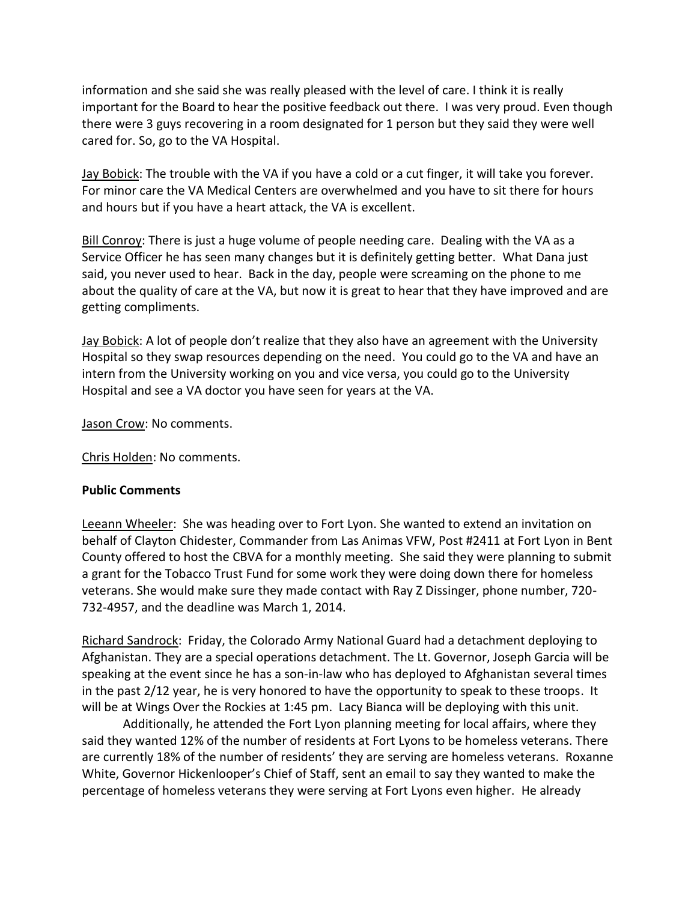information and she said she was really pleased with the level of care. I think it is really important for the Board to hear the positive feedback out there. I was very proud. Even though there were 3 guys recovering in a room designated for 1 person but they said they were well cared for. So, go to the VA Hospital.

Jay Bobick: The trouble with the VA if you have a cold or a cut finger, it will take you forever. For minor care the VA Medical Centers are overwhelmed and you have to sit there for hours and hours but if you have a heart attack, the VA is excellent.

Bill Conroy: There is just a huge volume of people needing care. Dealing with the VA as a Service Officer he has seen many changes but it is definitely getting better. What Dana just said, you never used to hear. Back in the day, people were screaming on the phone to me about the quality of care at the VA, but now it is great to hear that they have improved and are getting compliments.

Jay Bobick: A lot of people don't realize that they also have an agreement with the University Hospital so they swap resources depending on the need. You could go to the VA and have an intern from the University working on you and vice versa, you could go to the University Hospital and see a VA doctor you have seen for years at the VA.

Jason Crow: No comments.

Chris Holden: No comments.

### **Public Comments**

Leeann Wheeler: She was heading over to Fort Lyon. She wanted to extend an invitation on behalf of Clayton Chidester, Commander from Las Animas VFW, Post #2411 at Fort Lyon in Bent County offered to host the CBVA for a monthly meeting. She said they were planning to submit a grant for the Tobacco Trust Fund for some work they were doing down there for homeless veterans. She would make sure they made contact with Ray Z Dissinger, phone number, 720- 732-4957, and the deadline was March 1, 2014.

Richard Sandrock: Friday, the Colorado Army National Guard had a detachment deploying to Afghanistan. They are a special operations detachment. The Lt. Governor, Joseph Garcia will be speaking at the event since he has a son-in-law who has deployed to Afghanistan several times in the past 2/12 year, he is very honored to have the opportunity to speak to these troops. It will be at Wings Over the Rockies at 1:45 pm. Lacy Bianca will be deploying with this unit.

Additionally, he attended the Fort Lyon planning meeting for local affairs, where they said they wanted 12% of the number of residents at Fort Lyons to be homeless veterans. There are currently 18% of the number of residents' they are serving are homeless veterans. Roxanne White, Governor Hickenlooper's Chief of Staff, sent an email to say they wanted to make the percentage of homeless veterans they were serving at Fort Lyons even higher. He already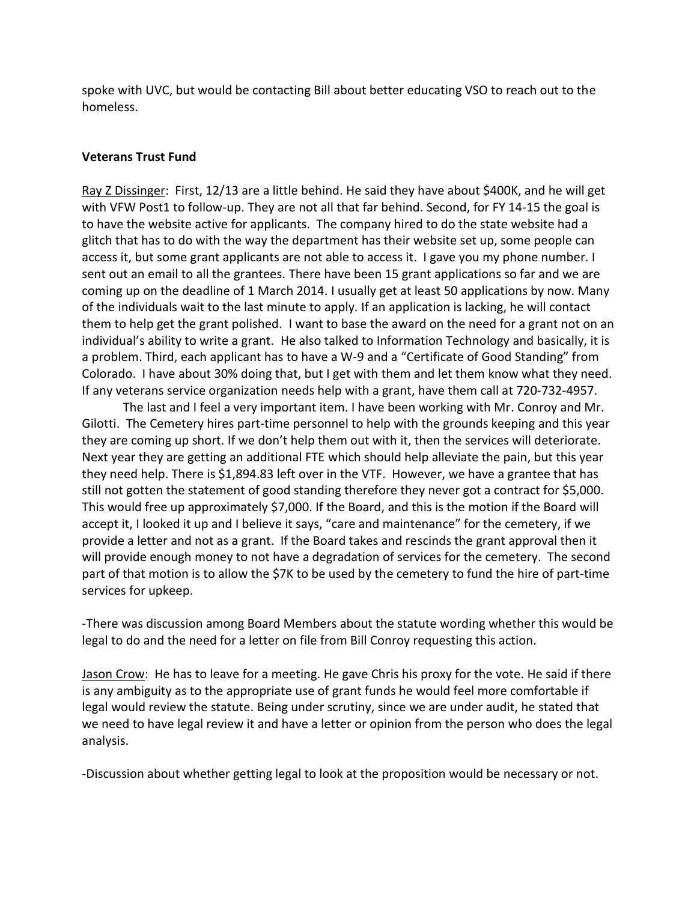spoke with UVC, but would be contacting Bill about better educating VSO to reach out to the homeless.

### **Veterans Trust Fund**

Ray Z Dissinger: First, 12/13 are a little behind. He said they have about \$400K, and he will get with VFW Post1 to follow-up. They are not all that far behind. Second, for FY 14-15 the goal is to have the website active for applicants. The company hired to do the state website had a glitch that has to do with the way the department has their website set up, some people can access it, but some grant applicants are not able to access it. I gave you my phone number. I sent out an email to all the grantees. There have been 15 grant applications so far and we are coming up on the deadline of 1 March 2014. I usually get at least 50 applications by now. Many of the individuals wait to the last minute to apply. If an application is lacking, he will contact them to help get the grant polished. I want to base the award on the need for a grant not on an individual's ability to write a grant. He also talked to Information Technology and basically, it is a problem. Third, each applicant has to have a W-9 and a "Certificate of Good Standing" from Colorado. I have about 30% doing that, but I get with them and let them know what they need. If any veterans service organization needs help with a grant, have them call at 720-732-4957.

The last and I feel a very important item. I have been working with Mr. Conroy and Mr. Gilotti. The Cemetery hires part-time personnel to help with the grounds keeping and this year they are coming up short. If we don't help them out with it, then the services will deteriorate. Next year they are getting an additional FTE which should help alleviate the pain, but this year they need help. There is \$1,894.83 left over in the VTF. However, we have a grantee that has still not gotten the statement of good standing therefore they never got a contract for \$5,000. This would free up approximately \$7,000. If the Board, and this is the motion if the Board will accept it, I looked it up and I believe it says, "care and maintenance" for the cemetery, if we provide a letter and not as a grant. If the Board takes and rescinds the grant approval then it will provide enough money to not have a degradation of services for the cemetery. The second part of that motion is to allow the \$7K to be used by the cemetery to fund the hire of part-time services for upkeep.

-There was discussion among Board Members about the statute wording whether this would be legal to do and the need for a letter on file from Bill Conroy requesting this action.

Jason Crow: He has to leave for a meeting. He gave Chris his proxy for the vote. He said if there is any ambiguity as to the appropriate use of grant funds he would feel more comfortable if legal would review the statute. Being under scrutiny, since we are under audit, he stated that we need to have legal review it and have a letter or opinion from the person who does the legal analysis.

-Discussion about whether getting legal to look at the proposition would be necessary or not.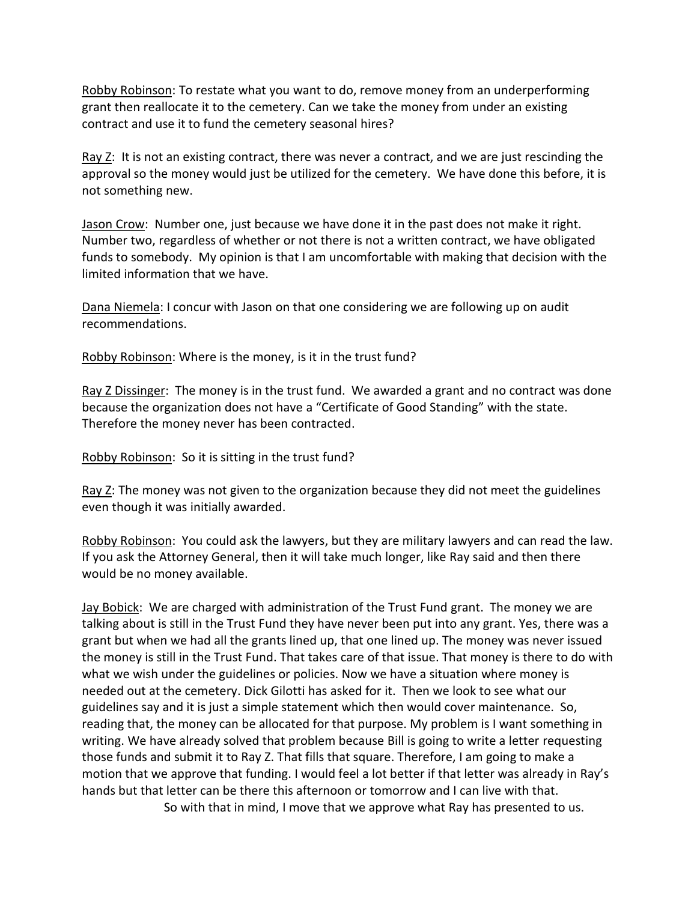Robby Robinson: To restate what you want to do, remove money from an underperforming grant then reallocate it to the cemetery. Can we take the money from under an existing contract and use it to fund the cemetery seasonal hires?

Ray Z: It is not an existing contract, there was never a contract, and we are just rescinding the approval so the money would just be utilized for the cemetery. We have done this before, it is not something new.

Jason Crow: Number one, just because we have done it in the past does not make it right. Number two, regardless of whether or not there is not a written contract, we have obligated funds to somebody. My opinion is that I am uncomfortable with making that decision with the limited information that we have.

Dana Niemela: I concur with Jason on that one considering we are following up on audit recommendations.

Robby Robinson: Where is the money, is it in the trust fund?

Ray Z Dissinger: The money is in the trust fund. We awarded a grant and no contract was done because the organization does not have a "Certificate of Good Standing" with the state. Therefore the money never has been contracted.

Robby Robinson: So it is sitting in the trust fund?

Ray  $Z$ : The money was not given to the organization because they did not meet the guidelines even though it was initially awarded.

Robby Robinson: You could ask the lawyers, but they are military lawyers and can read the law. If you ask the Attorney General, then it will take much longer, like Ray said and then there would be no money available.

Jay Bobick: We are charged with administration of the Trust Fund grant. The money we are talking about is still in the Trust Fund they have never been put into any grant. Yes, there was a grant but when we had all the grants lined up, that one lined up. The money was never issued the money is still in the Trust Fund. That takes care of that issue. That money is there to do with what we wish under the guidelines or policies. Now we have a situation where money is needed out at the cemetery. Dick Gilotti has asked for it. Then we look to see what our guidelines say and it is just a simple statement which then would cover maintenance. So, reading that, the money can be allocated for that purpose. My problem is I want something in writing. We have already solved that problem because Bill is going to write a letter requesting those funds and submit it to Ray Z. That fills that square. Therefore, I am going to make a motion that we approve that funding. I would feel a lot better if that letter was already in Ray's hands but that letter can be there this afternoon or tomorrow and I can live with that.

So with that in mind, I move that we approve what Ray has presented to us.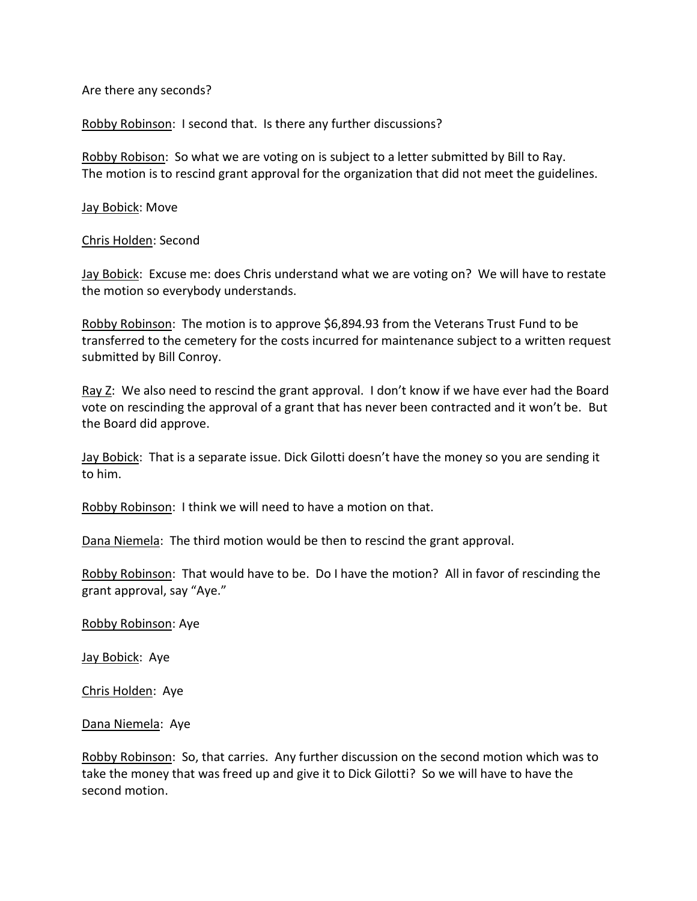Are there any seconds?

Robby Robinson: I second that. Is there any further discussions?

Robby Robison: So what we are voting on is subject to a letter submitted by Bill to Ray. The motion is to rescind grant approval for the organization that did not meet the guidelines.

Jay Bobick: Move

Chris Holden: Second

Jay Bobick: Excuse me: does Chris understand what we are voting on? We will have to restate the motion so everybody understands.

Robby Robinson: The motion is to approve \$6,894.93 from the Veterans Trust Fund to be transferred to the cemetery for the costs incurred for maintenance subject to a written request submitted by Bill Conroy.

Ray Z: We also need to rescind the grant approval. I don't know if we have ever had the Board vote on rescinding the approval of a grant that has never been contracted and it won't be. But the Board did approve.

Jay Bobick: That is a separate issue. Dick Gilotti doesn't have the money so you are sending it to him.

Robby Robinson: I think we will need to have a motion on that.

Dana Niemela: The third motion would be then to rescind the grant approval.

Robby Robinson: That would have to be. Do I have the motion? All in favor of rescinding the grant approval, say "Aye."

Robby Robinson: Aye

Jay Bobick: Aye

Chris Holden: Aye

Dana Niemela: Aye

Robby Robinson: So, that carries. Any further discussion on the second motion which was to take the money that was freed up and give it to Dick Gilotti? So we will have to have the second motion.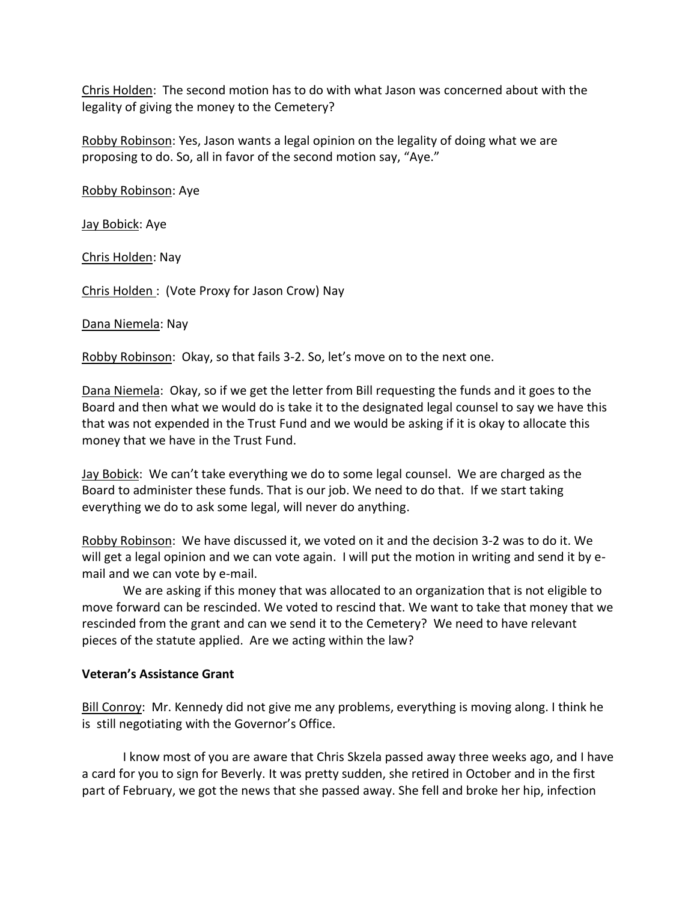Chris Holden: The second motion has to do with what Jason was concerned about with the legality of giving the money to the Cemetery?

Robby Robinson: Yes, Jason wants a legal opinion on the legality of doing what we are proposing to do. So, all in favor of the second motion say, "Aye."

Robby Robinson: Aye

Jay Bobick: Aye

Chris Holden: Nay

Chris Holden : (Vote Proxy for Jason Crow) Nay

Dana Niemela: Nay

Robby Robinson: Okay, so that fails 3-2. So, let's move on to the next one.

Dana Niemela: Okay, so if we get the letter from Bill requesting the funds and it goes to the Board and then what we would do is take it to the designated legal counsel to say we have this that was not expended in the Trust Fund and we would be asking if it is okay to allocate this money that we have in the Trust Fund.

Jay Bobick: We can't take everything we do to some legal counsel. We are charged as the Board to administer these funds. That is our job. We need to do that. If we start taking everything we do to ask some legal, will never do anything.

Robby Robinson: We have discussed it, we voted on it and the decision 3-2 was to do it. We will get a legal opinion and we can vote again. I will put the motion in writing and send it by email and we can vote by e-mail.

We are asking if this money that was allocated to an organization that is not eligible to move forward can be rescinded. We voted to rescind that. We want to take that money that we rescinded from the grant and can we send it to the Cemetery? We need to have relevant pieces of the statute applied. Are we acting within the law?

#### **Veteran's Assistance Grant**

Bill Conroy: Mr. Kennedy did not give me any problems, everything is moving along. I think he is still negotiating with the Governor's Office.

I know most of you are aware that Chris Skzela passed away three weeks ago, and I have a card for you to sign for Beverly. It was pretty sudden, she retired in October and in the first part of February, we got the news that she passed away. She fell and broke her hip, infection